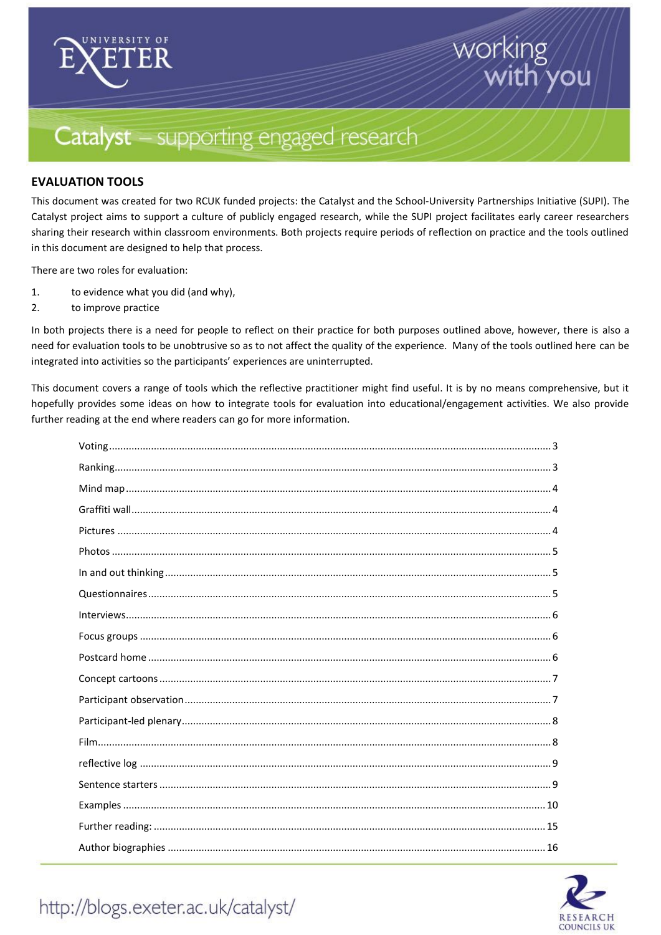

# working /ou

# Catalyst - supporting engaged research

### **EVALUATION TOOLS**

This document was created for two RCUK funded projects: the Catalyst and the School-University Partnerships Initiative (SUPI). The Catalyst project aims to support a culture of publicly engaged research, while the SUPI project facilitates early career researchers sharing their research within classroom environments. Both projects require periods of reflection on practice and the tools outlined in this document are designed to help that process.

There are two roles for evaluation:

- 1. to evidence what you did (and why),
- 2. to improve practice

In both projects there is a need for people to reflect on their practice for both purposes outlined above, however, there is also a need for evaluation tools to be unobtrusive so as to not affect the quality of the experience. Many of the tools outlined here can be integrated into activities so the participants' experiences are uninterrupted.

This document covers a range of tools which the reflective practitioner might find useful. It is by no means comprehensive, but it hopefully provides some ideas on how to integrate tools for evaluation into educational/engagement activities. We also provide further reading at the end where readers can go for more information.



## http://blogs.exeter.ac.uk/catalyst/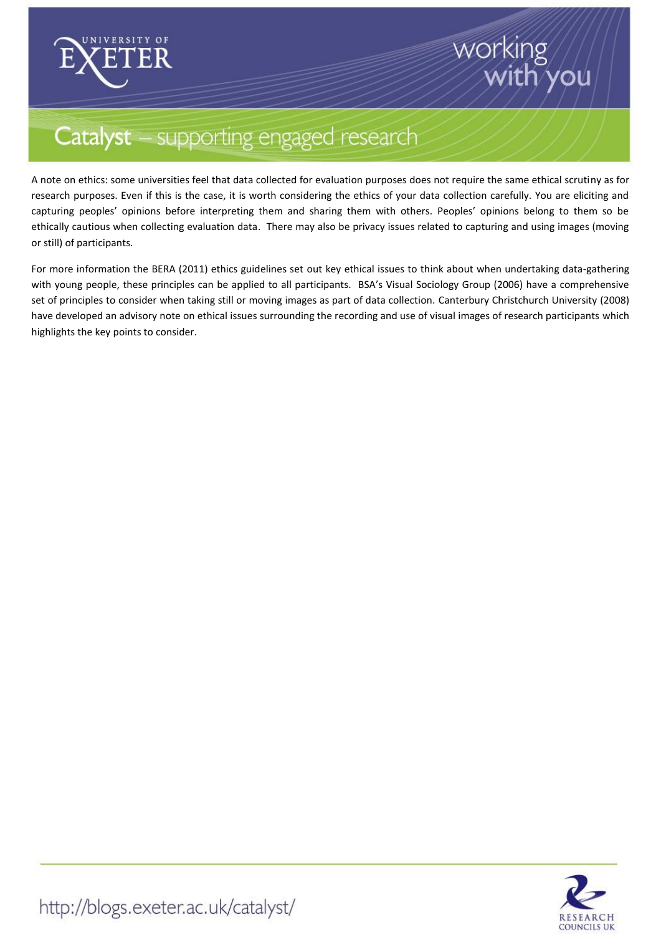

# working you

# Catalyst - supporting engaged research

A note on ethics: some universities feel that data collected for evaluation purposes does not require the same ethical scrutiny as for research purposes. Even if this is the case, it is worth considering the ethics of your data collection carefully. You are eliciting and capturing peoples' opinions before interpreting them and sharing them with others. Peoples' opinions belong to them so be ethically cautious when collecting evaluation data. There may also be privacy issues related to capturing and using images (moving or still) of participants.

For more information the BERA (2011) ethics guidelines set out key ethical issues to think about when undertaking data-gathering with young people, these principles can be applied to all participants. BSA's Visual Sociology Group (2006) have a comprehensive set of principles to consider when taking still or moving images as part of data collection. Canterbury Christchurch University (2008) have developed an advisory note on ethical issues surrounding the recording and use of visual images of research participants which highlights the key points to consider.

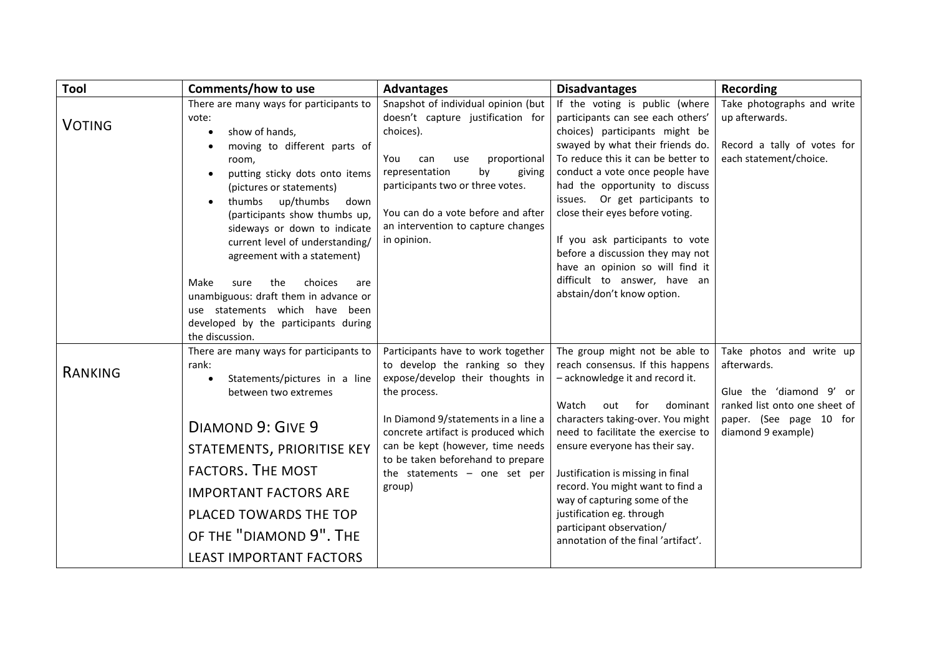<span id="page-2-1"></span><span id="page-2-0"></span>

| Tool          | Comments/how to use                                                                                                                                                                                                                                                                                                                                                                                                                                                                                                                  | <b>Advantages</b>                                                                                                                                                                                                                                                                                                           | <b>Disadvantages</b>                                                                                                                                                                                                                                                                                                                                                                                                                                                                              | <b>Recording</b>                                                                                                                                     |
|---------------|--------------------------------------------------------------------------------------------------------------------------------------------------------------------------------------------------------------------------------------------------------------------------------------------------------------------------------------------------------------------------------------------------------------------------------------------------------------------------------------------------------------------------------------|-----------------------------------------------------------------------------------------------------------------------------------------------------------------------------------------------------------------------------------------------------------------------------------------------------------------------------|---------------------------------------------------------------------------------------------------------------------------------------------------------------------------------------------------------------------------------------------------------------------------------------------------------------------------------------------------------------------------------------------------------------------------------------------------------------------------------------------------|------------------------------------------------------------------------------------------------------------------------------------------------------|
| <b>VOTING</b> | There are many ways for participants to<br>vote:<br>show of hands,<br>$\bullet$<br>moving to different parts of<br>room,<br>putting sticky dots onto items<br>(pictures or statements)<br>thumbs up/thumbs<br>down<br>(participants show thumbs up,<br>sideways or down to indicate<br>current level of understanding/<br>agreement with a statement)<br>Make<br>choices<br>sure<br>the<br>are<br>unambiguous: draft them in advance or<br>use statements which have been<br>developed by the participants during<br>the discussion. | Snapshot of individual opinion (but<br>doesn't capture justification for<br>choices).<br>proportional<br>You<br>can<br>use<br>representation<br>by<br>giving<br>participants two or three votes.<br>You can do a vote before and after<br>an intervention to capture changes<br>in opinion.                                 | If the voting is public (where<br>participants can see each others'<br>choices) participants might be<br>swayed by what their friends do.<br>To reduce this it can be better to<br>conduct a vote once people have<br>had the opportunity to discuss<br>issues. Or get participants to<br>close their eyes before voting.<br>If you ask participants to vote<br>before a discussion they may not<br>have an opinion so will find it<br>difficult to answer, have an<br>abstain/don't know option. | Take photographs and write<br>up afterwards.<br>Record a tally of votes for<br>each statement/choice.                                                |
| RANKING       | There are many ways for participants to<br>rank:<br>Statements/pictures in a line<br>$\bullet$<br>between two extremes<br>DIAMOND 9: GIVE 9<br>STATEMENTS, PRIORITISE KEY<br><b>FACTORS. THE MOST</b><br><b>IMPORTANT FACTORS ARE</b><br>PLACED TOWARDS THE TOP<br>OF THE "DIAMOND 9". THE<br><b>LEAST IMPORTANT FACTORS</b>                                                                                                                                                                                                         | Participants have to work together<br>to develop the ranking so they<br>expose/develop their thoughts in<br>the process.<br>In Diamond 9/statements in a line a<br>concrete artifact is produced which<br>can be kept (however, time needs<br>to be taken beforehand to prepare<br>the statements $-$ one set per<br>group) | The group might not be able to<br>reach consensus. If this happens<br>- acknowledge it and record it.<br>Watch<br>out<br>for<br>dominant<br>characters taking-over. You might<br>need to facilitate the exercise to<br>ensure everyone has their say.<br>Justification is missing in final<br>record. You might want to find a<br>way of capturing some of the<br>justification eg. through<br>participant observation/<br>annotation of the final 'artifact'.                                    | Take photos and write up<br>afterwards.<br>Glue the 'diamond 9' or<br>ranked list onto one sheet of<br>paper. (See page 10 for<br>diamond 9 example) |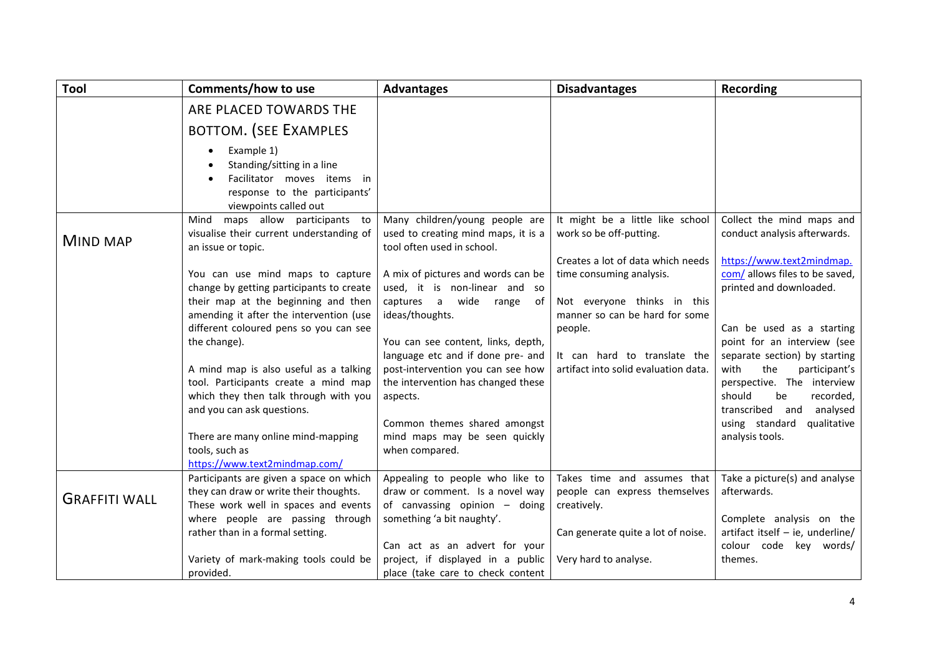<span id="page-3-1"></span><span id="page-3-0"></span>

| <b>Tool</b>          | Comments/how to use                                                                                                                                                                                                                                                                                                                                                               | <b>Advantages</b>                                                                                                                                                                                                                                                                             | <b>Disadvantages</b>                                                                                                                                                                                              | <b>Recording</b>                                                                                                                                                                                                                                                                                              |
|----------------------|-----------------------------------------------------------------------------------------------------------------------------------------------------------------------------------------------------------------------------------------------------------------------------------------------------------------------------------------------------------------------------------|-----------------------------------------------------------------------------------------------------------------------------------------------------------------------------------------------------------------------------------------------------------------------------------------------|-------------------------------------------------------------------------------------------------------------------------------------------------------------------------------------------------------------------|---------------------------------------------------------------------------------------------------------------------------------------------------------------------------------------------------------------------------------------------------------------------------------------------------------------|
|                      | ARE PLACED TOWARDS THE                                                                                                                                                                                                                                                                                                                                                            |                                                                                                                                                                                                                                                                                               |                                                                                                                                                                                                                   |                                                                                                                                                                                                                                                                                                               |
|                      | <b>BOTTOM. (SEE EXAMPLES</b>                                                                                                                                                                                                                                                                                                                                                      |                                                                                                                                                                                                                                                                                               |                                                                                                                                                                                                                   |                                                                                                                                                                                                                                                                                                               |
|                      | Example 1)<br>Standing/sitting in a line<br>Facilitator moves items in<br>response to the participants'<br>viewpoints called out                                                                                                                                                                                                                                                  |                                                                                                                                                                                                                                                                                               |                                                                                                                                                                                                                   |                                                                                                                                                                                                                                                                                                               |
| <b>MIND MAP</b>      | maps allow participants to<br>Mind<br>visualise their current understanding of<br>an issue or topic.                                                                                                                                                                                                                                                                              | Many children/young people are<br>used to creating mind maps, it is a<br>tool often used in school.                                                                                                                                                                                           | It might be a little like school<br>work so be off-putting.                                                                                                                                                       | Collect the mind maps and<br>conduct analysis afterwards.                                                                                                                                                                                                                                                     |
|                      | You can use mind maps to capture<br>change by getting participants to create<br>their map at the beginning and then<br>amending it after the intervention (use<br>different coloured pens so you can see<br>the change).<br>A mind map is also useful as a talking<br>tool. Participants create a mind map<br>which they then talk through with you<br>and you can ask questions. | A mix of pictures and words can be<br>used, it is non-linear and so<br>captures a<br>wide<br>of<br>range<br>ideas/thoughts.<br>You can see content, links, depth,<br>language etc and if done pre- and<br>post-intervention you can see how<br>the intervention has changed these<br>aspects. | Creates a lot of data which needs<br>time consuming analysis.<br>Not everyone thinks in this<br>manner so can be hard for some<br>people.<br>It can hard to translate the<br>artifact into solid evaluation data. | https://www.text2mindmap.<br>com/ allows files to be saved,<br>printed and downloaded.<br>Can be used as a starting<br>point for an interview (see<br>separate section) by starting<br>with<br>the<br>participant's<br>perspective. The interview<br>should<br>recorded,<br>be<br>transcribed and<br>analysed |
|                      | There are many online mind-mapping<br>tools, such as<br>https://www.text2mindmap.com/                                                                                                                                                                                                                                                                                             | Common themes shared amongst<br>mind maps may be seen quickly<br>when compared.                                                                                                                                                                                                               |                                                                                                                                                                                                                   | using standard<br>qualitative<br>analysis tools.                                                                                                                                                                                                                                                              |
| <b>GRAFFITI WALL</b> | Participants are given a space on which<br>they can draw or write their thoughts.<br>These work well in spaces and events                                                                                                                                                                                                                                                         | Appealing to people who like to<br>draw or comment. Is a novel way<br>of canvassing opinion - doing                                                                                                                                                                                           | Takes time and assumes that<br>people can express themselves<br>creatively.                                                                                                                                       | Take a picture(s) and analyse<br>afterwards.                                                                                                                                                                                                                                                                  |
|                      | where people are passing through<br>rather than in a formal setting.                                                                                                                                                                                                                                                                                                              | something 'a bit naughty'.<br>Can act as an advert for your                                                                                                                                                                                                                                   | Can generate quite a lot of noise.                                                                                                                                                                                | Complete analysis on the<br>artifact itself - ie, underline/<br>colour code key words/                                                                                                                                                                                                                        |
|                      | Variety of mark-making tools could be<br>provided.                                                                                                                                                                                                                                                                                                                                | project, if displayed in a public<br>place (take care to check content                                                                                                                                                                                                                        | Very hard to analyse.                                                                                                                                                                                             | themes.                                                                                                                                                                                                                                                                                                       |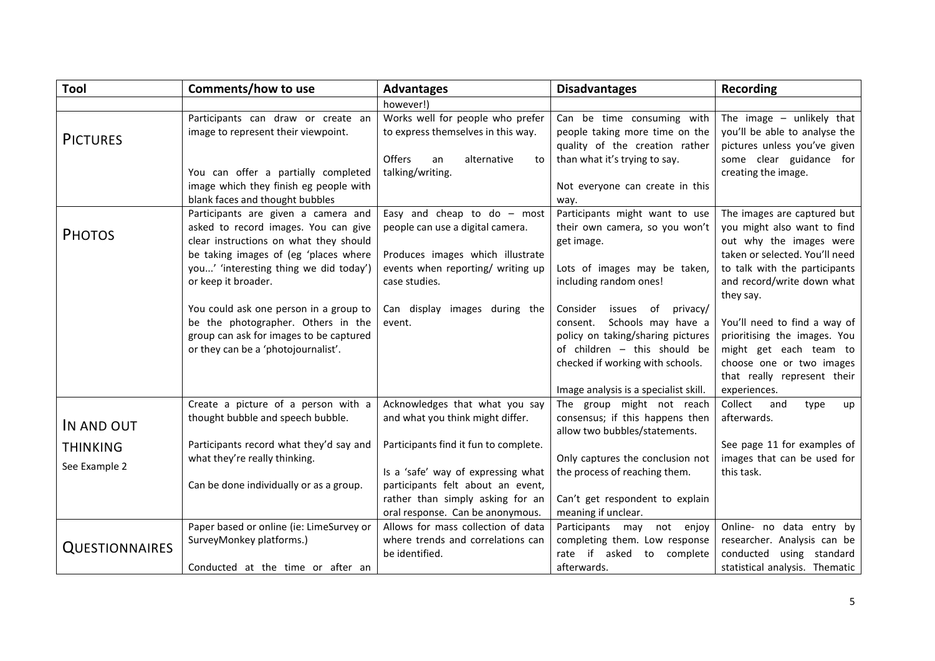<span id="page-4-3"></span><span id="page-4-2"></span><span id="page-4-1"></span><span id="page-4-0"></span>

| <b>Tool</b>                      | <b>Comments/how to use</b>                                                                                                                                                                                                      | <b>Advantages</b>                                                                                                                                           | <b>Disadvantages</b>                                                                                                                                                                                                  | Recording                                                                                                                                                                                           |
|----------------------------------|---------------------------------------------------------------------------------------------------------------------------------------------------------------------------------------------------------------------------------|-------------------------------------------------------------------------------------------------------------------------------------------------------------|-----------------------------------------------------------------------------------------------------------------------------------------------------------------------------------------------------------------------|-----------------------------------------------------------------------------------------------------------------------------------------------------------------------------------------------------|
|                                  |                                                                                                                                                                                                                                 | however!)                                                                                                                                                   |                                                                                                                                                                                                                       |                                                                                                                                                                                                     |
| <b>PICTURES</b>                  | Participants can draw or create an<br>image to represent their viewpoint.                                                                                                                                                       | Works well for people who prefer<br>to express themselves in this way.                                                                                      | Can be time consuming with<br>people taking more time on the<br>quality of the creation rather                                                                                                                        | The image $-$ unlikely that<br>you'll be able to analyse the<br>pictures unless you've given                                                                                                        |
|                                  | You can offer a partially completed<br>image which they finish eg people with<br>blank faces and thought bubbles                                                                                                                | Offers<br>alternative<br>an<br>to<br>talking/writing.                                                                                                       | than what it's trying to say.<br>Not everyone can create in this<br>way.                                                                                                                                              | some clear guidance for<br>creating the image.                                                                                                                                                      |
| <b>PHOTOS</b>                    | Participants are given a camera and<br>asked to record images. You can give<br>clear instructions on what they should<br>be taking images of (eg 'places where<br>you' 'interesting thing we did today')<br>or keep it broader. | Easy and cheap to do $-$ most<br>people can use a digital camera.<br>Produces images which illustrate<br>events when reporting/ writing up<br>case studies. | Participants might want to use<br>their own camera, so you won't<br>get image.<br>Lots of images may be taken,<br>including random ones!                                                                              | The images are captured but<br>you might also want to find<br>out why the images were<br>taken or selected. You'll need<br>to talk with the participants<br>and record/write down what<br>they say. |
|                                  | You could ask one person in a group to<br>be the photographer. Others in the<br>group can ask for images to be captured<br>or they can be a 'photojournalist'.                                                                  | Can display images during the<br>event.                                                                                                                     | Consider<br>issues of<br>privacy/<br>Schools may have a<br>consent.<br>policy on taking/sharing pictures<br>of children - this should be<br>checked if working with schools.<br>Image analysis is a specialist skill. | You'll need to find a way of<br>prioritising the images. You<br>might get each team to<br>choose one or two images<br>that really represent their<br>experiences.                                   |
| IN AND OUT                       | Create a picture of a person with a<br>thought bubble and speech bubble.                                                                                                                                                        | Acknowledges that what you say<br>and what you think might differ.                                                                                          | The group might not reach<br>consensus; if this happens then<br>allow two bubbles/statements.                                                                                                                         | Collect<br>and<br>type<br>up<br>afterwards.                                                                                                                                                         |
| <b>THINKING</b><br>See Example 2 | Participants record what they'd say and<br>what they're really thinking.                                                                                                                                                        | Participants find it fun to complete.<br>Is a 'safe' way of expressing what                                                                                 | Only captures the conclusion not<br>the process of reaching them.                                                                                                                                                     | See page 11 for examples of<br>images that can be used for<br>this task.                                                                                                                            |
|                                  | Can be done individually or as a group.                                                                                                                                                                                         | participants felt about an event,<br>rather than simply asking for an<br>oral response. Can be anonymous.                                                   | Can't get respondent to explain<br>meaning if unclear.                                                                                                                                                                |                                                                                                                                                                                                     |
| <b>QUESTIONNAIRES</b>            | Paper based or online (ie: LimeSurvey or<br>SurveyMonkey platforms.)<br>Conducted at the time or after an                                                                                                                       | Allows for mass collection of data<br>where trends and correlations can<br>be identified.                                                                   | Participants may not enjoy<br>completing them. Low response<br>rate if<br>asked<br>to<br>complete<br>afterwards.                                                                                                      | Online- no data entry by<br>researcher. Analysis can be<br>conducted using standard<br>statistical analysis. Thematic                                                                               |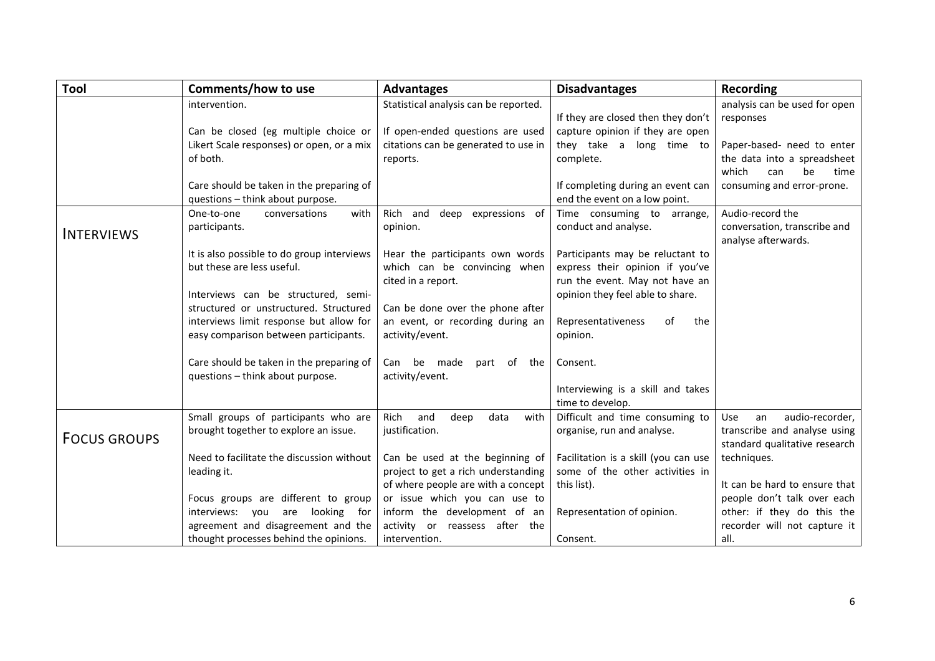<span id="page-5-1"></span><span id="page-5-0"></span>

| Tool                | Comments/how to use                        | <b>Advantages</b>                     | <b>Disadvantages</b>                                | Recording                           |
|---------------------|--------------------------------------------|---------------------------------------|-----------------------------------------------------|-------------------------------------|
|                     | intervention.                              | Statistical analysis can be reported. |                                                     | analysis can be used for open       |
|                     |                                            |                                       | If they are closed then they don't                  | responses                           |
|                     | Can be closed (eg multiple choice or       | If open-ended questions are used      | capture opinion if they are open                    |                                     |
|                     | Likert Scale responses) or open, or a mix  | citations can be generated to use in  | they take a<br>long time to                         | Paper-based- need to enter          |
|                     | of both.                                   | reports.                              | complete.                                           | the data into a spreadsheet         |
|                     |                                            |                                       |                                                     | which<br>be<br>time<br>can          |
|                     | Care should be taken in the preparing of   |                                       | If completing during an event can                   | consuming and error-prone.          |
|                     | questions - think about purpose.           |                                       | end the event on a low point.                       |                                     |
|                     | One-to-one<br>conversations<br>with        | Rich and<br>deep expressions of       | Time consuming to arrange,                          | Audio-record the                    |
| <b>INTERVIEWS</b>   | participants.                              | opinion.                              | conduct and analyse.                                | conversation, transcribe and        |
|                     |                                            |                                       |                                                     | analyse afterwards.                 |
|                     | It is also possible to do group interviews | Hear the participants own words       | Participants may be reluctant to                    |                                     |
|                     | but these are less useful.                 | which can be convincing when          | express their opinion if you've                     |                                     |
|                     |                                            | cited in a report.                    | run the event. May not have an                      |                                     |
|                     | Interviews can be structured, semi-        |                                       | opinion they feel able to share.                    |                                     |
|                     | structured or unstructured. Structured     | Can be done over the phone after      |                                                     |                                     |
|                     | interviews limit response but allow for    | an event, or recording during an      | Representativeness<br>0f<br>the                     |                                     |
|                     | easy comparison between participants.      | activity/event.                       | opinion.                                            |                                     |
|                     |                                            |                                       |                                                     |                                     |
|                     | Care should be taken in the preparing of   | Can be made<br>part of the            | Consent.                                            |                                     |
|                     | questions - think about purpose.           | activity/event.                       |                                                     |                                     |
|                     |                                            |                                       | Interviewing is a skill and takes                   |                                     |
|                     | Small groups of participants who are       | Rich<br>and<br>with                   | time to develop.<br>Difficult and time consuming to | audio-recorder,<br><b>Use</b><br>an |
|                     | brought together to explore an issue.      | deep<br>data<br>justification.        | organise, run and analyse.                          | transcribe and analyse using        |
| <b>FOCUS GROUPS</b> |                                            |                                       |                                                     | standard qualitative research       |
|                     | Need to facilitate the discussion without  | Can be used at the beginning of       | Facilitation is a skill (you can use                | techniques.                         |
|                     | leading it.                                | project to get a rich understanding   | some of the other activities in                     |                                     |
|                     |                                            | of where people are with a concept    | this list).                                         | It can be hard to ensure that       |
|                     | Focus groups are different to group        | or issue which you can use to         |                                                     | people don't talk over each         |
|                     | interviews: you<br>looking for<br>are      | inform the development of an          | Representation of opinion.                          | other: if they do this the          |
|                     | agreement and disagreement and the         | activity or reassess after the        |                                                     | recorder will not capture it        |
|                     | thought processes behind the opinions.     | intervention.                         | Consent.                                            | all.                                |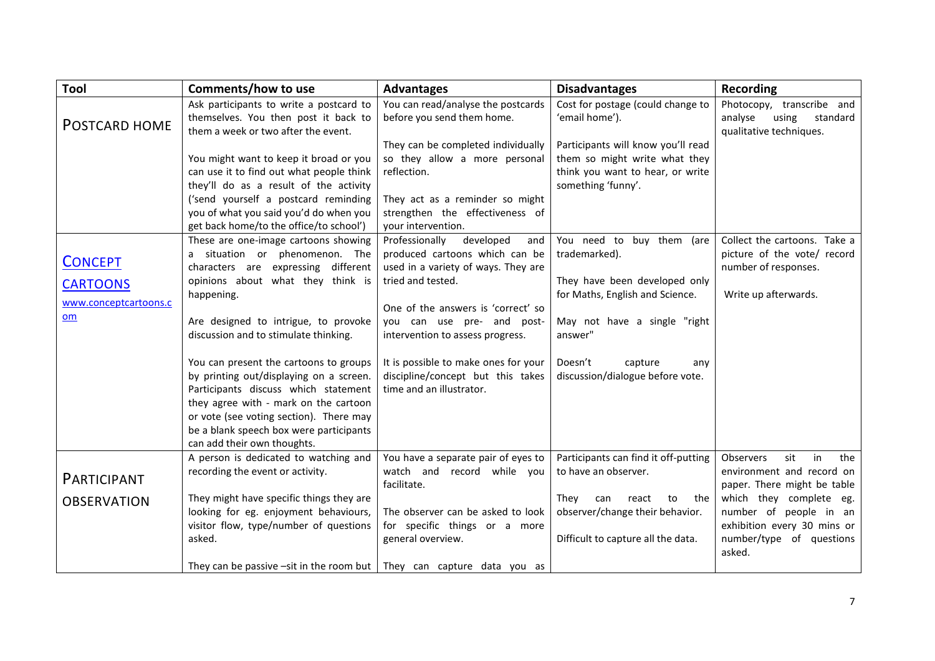<span id="page-6-2"></span><span id="page-6-1"></span><span id="page-6-0"></span>

| Tool                                                             | Comments/how to use                                                                                                                                                                                                                                                                                                                                                                                                                                                                                                                          | <b>Advantages</b>                                                                                                                                                                                                                                                                                                                                 | <b>Disadvantages</b>                                                                                                                                                                                                       | <b>Recording</b>                                                                                                                                                                                                           |
|------------------------------------------------------------------|----------------------------------------------------------------------------------------------------------------------------------------------------------------------------------------------------------------------------------------------------------------------------------------------------------------------------------------------------------------------------------------------------------------------------------------------------------------------------------------------------------------------------------------------|---------------------------------------------------------------------------------------------------------------------------------------------------------------------------------------------------------------------------------------------------------------------------------------------------------------------------------------------------|----------------------------------------------------------------------------------------------------------------------------------------------------------------------------------------------------------------------------|----------------------------------------------------------------------------------------------------------------------------------------------------------------------------------------------------------------------------|
| POSTCARD HOME                                                    | Ask participants to write a postcard to<br>themselves. You then post it back to<br>them a week or two after the event.                                                                                                                                                                                                                                                                                                                                                                                                                       | You can read/analyse the postcards<br>before you send them home.<br>They can be completed individually                                                                                                                                                                                                                                            | Cost for postage (could change to<br>'email home').<br>Participants will know you'll read                                                                                                                                  | Photocopy, transcribe and<br>analyse<br>using<br>standard<br>qualitative techniques.                                                                                                                                       |
|                                                                  | You might want to keep it broad or you<br>can use it to find out what people think<br>they'll do as a result of the activity<br>('send yourself a postcard reminding<br>you of what you said you'd do when you<br>get back home/to the office/to school')                                                                                                                                                                                                                                                                                    | so they allow a more personal<br>reflection.<br>They act as a reminder so might<br>strengthen the effectiveness of<br>your intervention.                                                                                                                                                                                                          | them so might write what they<br>think you want to hear, or write<br>something 'funny'.                                                                                                                                    |                                                                                                                                                                                                                            |
| <b>CONCEPT</b><br><b>CARTOONS</b><br>www.conceptcartoons.c<br>om | These are one-image cartoons showing<br>a situation or phenomenon. The<br>characters are expressing different<br>opinions about what they think is<br>happening.<br>Are designed to intrigue, to provoke<br>discussion and to stimulate thinking.<br>You can present the cartoons to groups<br>by printing out/displaying on a screen.<br>Participants discuss which statement<br>they agree with - mark on the cartoon<br>or vote (see voting section). There may<br>be a blank speech box were participants<br>can add their own thoughts. | Professionally<br>developed<br>and<br>produced cartoons which can be<br>used in a variety of ways. They are<br>tried and tested.<br>One of the answers is 'correct' so<br>you can use pre- and post-<br>intervention to assess progress.<br>It is possible to make ones for your<br>discipline/concept but this takes<br>time and an illustrator. | You need to buy them (are<br>trademarked).<br>They have been developed only<br>for Maths, English and Science.<br>May not have a single "right<br>answer"<br>Doesn't<br>capture<br>any<br>discussion/dialogue before vote. | Collect the cartoons. Take a<br>picture of the vote/ record<br>number of responses.<br>Write up afterwards.                                                                                                                |
| <b>PARTICIPANT</b><br><b>OBSERVATION</b>                         | A person is dedicated to watching and<br>recording the event or activity.<br>They might have specific things they are<br>looking for eg. enjoyment behaviours,<br>visitor flow, type/number of questions<br>asked.<br>They can be passive $-sit$ in the room but   They can capture data you as                                                                                                                                                                                                                                              | You have a separate pair of eyes to<br>watch and record while you<br>facilitate.<br>The observer can be asked to look<br>for specific things or a more<br>general overview.                                                                                                                                                                       | Participants can find it off-putting<br>to have an observer.<br>They<br>can<br>react<br>to<br>the<br>observer/change their behavior.<br>Difficult to capture all the data.                                                 | in<br><b>Observers</b><br>sit<br>the<br>environment and record on<br>paper. There might be table<br>which they complete eg.<br>number of people in an<br>exhibition every 30 mins or<br>number/type of questions<br>asked. |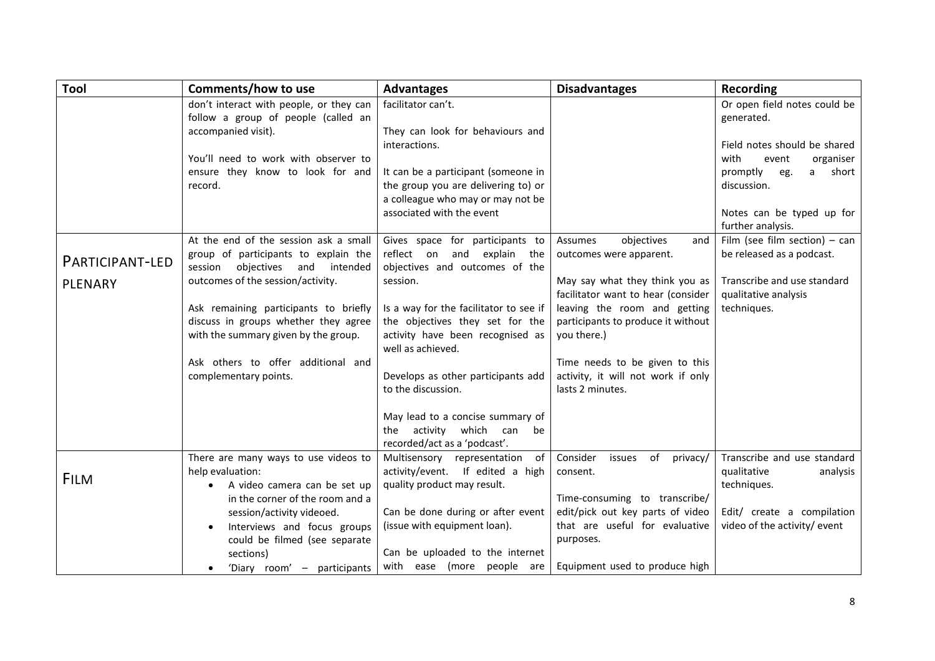<span id="page-7-1"></span><span id="page-7-0"></span>

| Tool            | <b>Comments/how to use</b>                                                                                            | <b>Advantages</b>                                                                                                                            | <b>Disadvantages</b>                                                                                                    | Recording                                                                 |
|-----------------|-----------------------------------------------------------------------------------------------------------------------|----------------------------------------------------------------------------------------------------------------------------------------------|-------------------------------------------------------------------------------------------------------------------------|---------------------------------------------------------------------------|
|                 | don't interact with people, or they can<br>follow a group of people (called an<br>accompanied visit).                 | facilitator can't.<br>They can look for behaviours and                                                                                       |                                                                                                                         | Or open field notes could be<br>generated.                                |
|                 | You'll need to work with observer to                                                                                  | interactions.                                                                                                                                |                                                                                                                         | Field notes should be shared<br>with<br>event<br>organiser                |
|                 | ensure they know to look for and<br>record.                                                                           | It can be a participant (someone in<br>the group you are delivering to) or<br>a colleague who may or may not be<br>associated with the event |                                                                                                                         | promptly<br>short<br>eg.<br>a<br>discussion.<br>Notes can be typed up for |
|                 | At the end of the session ask a small                                                                                 | Gives space for participants to                                                                                                              | Assumes<br>objectives<br>and                                                                                            | further analysis.<br>Film (see film section) $-$ can                      |
| PARTICIPANT-LED | group of participants to explain the<br>objectives and intended<br>session                                            | reflect on<br>and explain the<br>objectives and outcomes of the                                                                              | outcomes were apparent.                                                                                                 | be released as a podcast.                                                 |
| <b>PLENARY</b>  | outcomes of the session/activity.                                                                                     | session.                                                                                                                                     | May say what they think you as                                                                                          | Transcribe and use standard                                               |
|                 | Ask remaining participants to briefly<br>discuss in groups whether they agree<br>with the summary given by the group. | Is a way for the facilitator to see if<br>the objectives they set for the<br>activity have been recognised as<br>well as achieved.           | facilitator want to hear (consider<br>leaving the room and getting<br>participants to produce it without<br>you there.) | qualitative analysis<br>techniques.                                       |
|                 | Ask others to offer additional and<br>complementary points.                                                           | Develops as other participants add<br>to the discussion.                                                                                     | Time needs to be given to this<br>activity, it will not work if only<br>lasts 2 minutes.                                |                                                                           |
|                 |                                                                                                                       | May lead to a concise summary of<br>the activity which can<br>be<br>recorded/act as a 'podcast'.                                             |                                                                                                                         |                                                                           |
| <b>FILM</b>     | There are many ways to use videos to<br>help evaluation:<br>A video camera can be set up<br>$\bullet$                 | Multisensory representation<br>of<br>activity/event. If edited a high<br>quality product may result.                                         | Consider<br>issues of privacy/<br>consent.                                                                              | Transcribe and use standard<br>qualitative<br>analysis<br>techniques.     |
|                 | in the corner of the room and a<br>session/activity videoed.                                                          | Can be done during or after event                                                                                                            | Time-consuming to transcribe/<br>edit/pick out key parts of video                                                       | Edit/ create a compilation                                                |
|                 | Interviews and focus groups<br>$\bullet$                                                                              | (issue with equipment loan).                                                                                                                 | that are useful for evaluative                                                                                          | video of the activity/ event                                              |
|                 | could be filmed (see separate<br>sections)                                                                            | Can be uploaded to the internet                                                                                                              | purposes.                                                                                                               |                                                                           |
|                 | 'Diary room' - participants                                                                                           | with ease (more people are                                                                                                                   | Equipment used to produce high                                                                                          |                                                                           |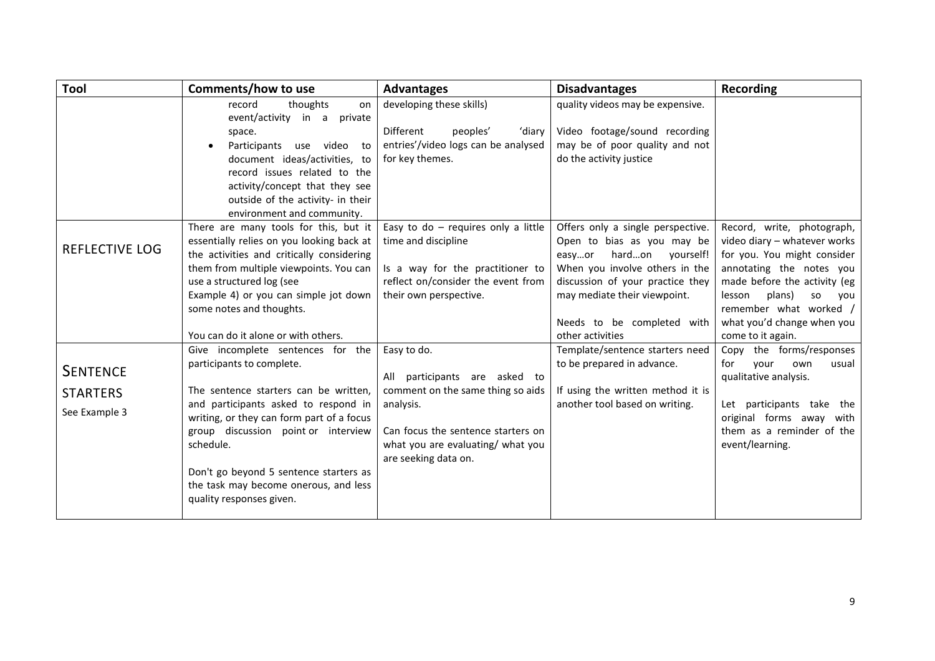<span id="page-8-1"></span><span id="page-8-0"></span>

| Tool                                                | Comments/how to use                                                                                                                                                                                                                                                                                                                                             | <b>Advantages</b>                                                                                                                                                                                 | <b>Disadvantages</b>                                                                                                                                                                                                                                  | <b>Recording</b>                                                                                                                                                                                                                                                    |
|-----------------------------------------------------|-----------------------------------------------------------------------------------------------------------------------------------------------------------------------------------------------------------------------------------------------------------------------------------------------------------------------------------------------------------------|---------------------------------------------------------------------------------------------------------------------------------------------------------------------------------------------------|-------------------------------------------------------------------------------------------------------------------------------------------------------------------------------------------------------------------------------------------------------|---------------------------------------------------------------------------------------------------------------------------------------------------------------------------------------------------------------------------------------------------------------------|
|                                                     | record<br>thoughts<br>on<br>event/activity in a<br>private<br>space.<br>Participants use video to<br>document ideas/activities, to<br>record issues related to the<br>activity/concept that they see<br>outside of the activity- in their<br>environment and community.                                                                                         | developing these skills)<br>Different<br>peoples'<br>'diary<br>entries'/video logs can be analysed<br>for key themes.                                                                             | quality videos may be expensive.<br>Video footage/sound recording<br>may be of poor quality and not<br>do the activity justice                                                                                                                        |                                                                                                                                                                                                                                                                     |
| <b>REFLECTIVE LOG</b>                               | There are many tools for this, but it<br>essentially relies on you looking back at<br>the activities and critically considering<br>them from multiple viewpoints. You can<br>use a structured log (see<br>Example 4) or you can simple jot down<br>some notes and thoughts.<br>You can do it alone or with others.                                              | Easy to do $-$ requires only a little<br>time and discipline<br>Is a way for the practitioner to<br>reflect on/consider the event from<br>their own perspective.                                  | Offers only a single perspective.<br>Open to bias as you may be<br>hardon yourself!<br>easyor<br>When you involve others in the<br>discussion of your practice they<br>may mediate their viewpoint.<br>Needs to be completed with<br>other activities | Record, write, photograph,<br>video diary - whatever works<br>for you. You might consider<br>annotating the notes you<br>made before the activity (eg<br>lesson<br>plans)<br>SO<br>you<br>remember what worked /<br>what you'd change when you<br>come to it again. |
| <b>SENTENCE</b><br><b>STARTERS</b><br>See Example 3 | Give incomplete sentences for the<br>participants to complete.<br>The sentence starters can be written,<br>and participants asked to respond in<br>writing, or they can form part of a focus<br>group discussion point or interview<br>schedule.<br>Don't go beyond 5 sentence starters as<br>the task may become onerous, and less<br>quality responses given. | Easy to do.<br>All participants are asked to<br>comment on the same thing so aids<br>analysis.<br>Can focus the sentence starters on<br>what you are evaluating/ what you<br>are seeking data on. | Template/sentence starters need<br>to be prepared in advance.<br>If using the written method it is<br>another tool based on writing.                                                                                                                  | Copy the forms/responses<br>for<br>your<br>own<br>usual<br>qualitative analysis.<br>Let participants take the<br>original forms away with<br>them as a reminder of the<br>event/learning.                                                                           |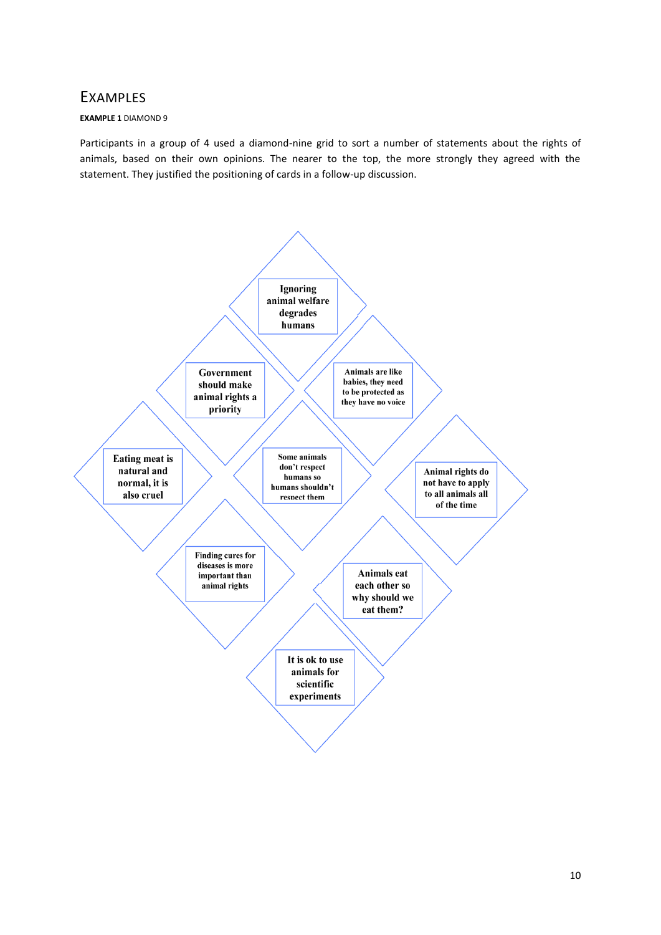## <span id="page-9-1"></span><span id="page-9-0"></span>EXAMPLES

#### **EXAMPLE 1** DIAMOND 9

Participants in a group of 4 used a diamond-nine grid to sort a number of statements about the rights of animals, based on their own opinions. The nearer to the top, the more strongly they agreed with the statement. They justified the positioning of cards in a follow-up discussion.

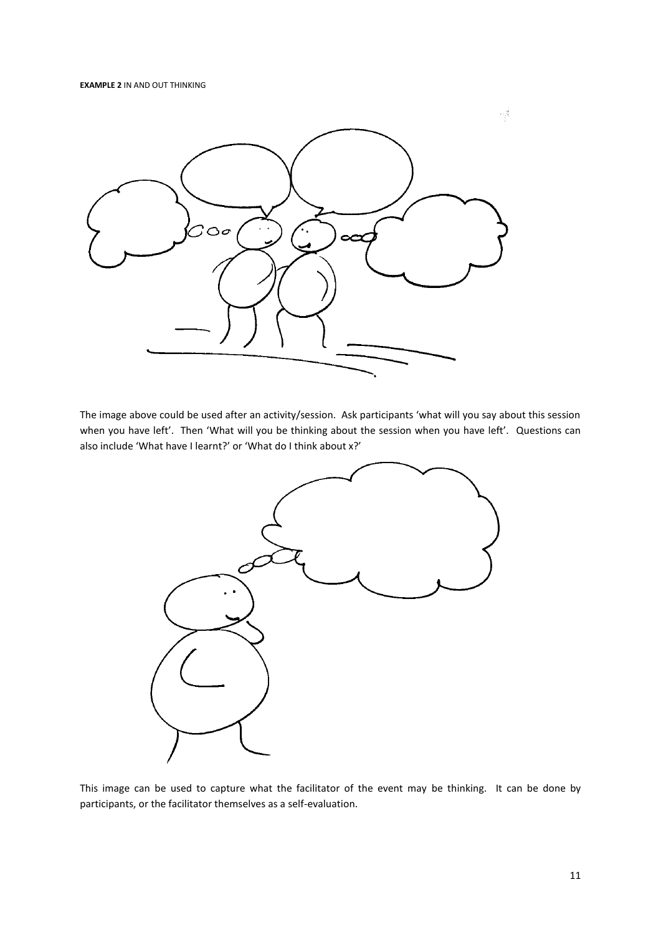<span id="page-10-0"></span>

The image above could be used after an activity/session. Ask participants 'what will you say about this session when you have left'. Then 'What will you be thinking about the session when you have left'. Questions can also include 'What have I learnt?' or 'What do I think about x?'



This image can be used to capture what the facilitator of the event may be thinking. It can be done by participants, or the facilitator themselves as a self-evaluation.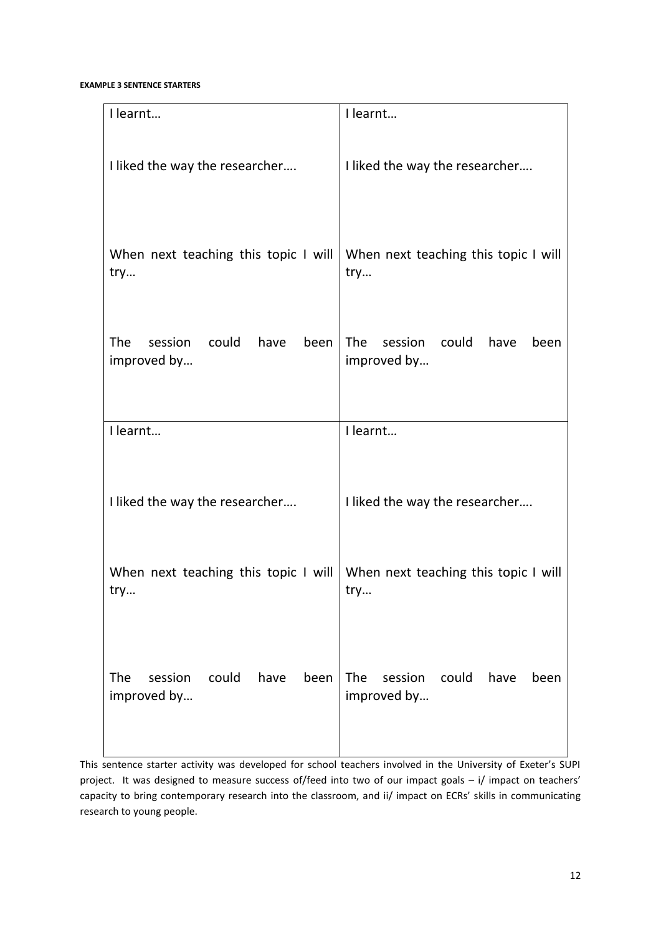<span id="page-11-1"></span>**EXAMPLE 3 SENTENCE STARTERS**

| I learnt                             | I learnt                             |
|--------------------------------------|--------------------------------------|
| I liked the way the researcher       | I liked the way the researcher       |
| When next teaching this topic I will | When next teaching this topic I will |
| try                                  | try                                  |
| The                                  | <b>The</b>                           |
| session                              | session                              |
| could                                | could                                |
| have                                 | have                                 |
| been                                 | been                                 |
| improved by                          | improved by                          |
| I learnt                             | I learnt                             |
| I liked the way the researcher       | I liked the way the researcher       |
| When next teaching this topic I will | When next teaching this topic I will |
| try                                  | try                                  |
| session                              | <b>The</b>                           |
| could                                | session                              |
| have                                 | could                                |
| <b>The</b>                           | have                                 |
| been                                 | been                                 |
| improved by                          | improved by                          |

<span id="page-11-0"></span>This sentence starter activity was developed for school teachers involved in the University of Exeter's SUPI project. It was designed to measure success of/feed into two of our impact goals – i/ impact on teachers' capacity to bring contemporary research into the classroom, and ii/ impact on ECRs' skills in communicating research to young people.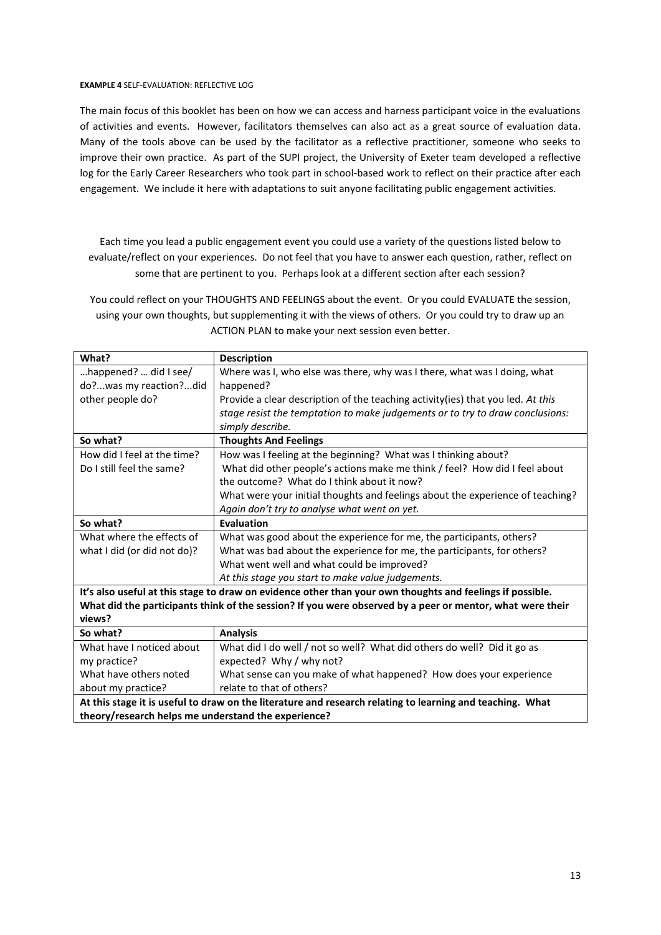#### **EXAMPLE 4** SELF-EVALUATION: REFLECTIVE LOG

The main focus of this booklet has been on how we can access and harness participant voice in the evaluations of activities and events. However, facilitators themselves can also act as a great source of evaluation data. Many of the tools above can be used by the facilitator as a reflective practitioner, someone who seeks to improve their own practice. As part of the SUPI project, the University of Exeter team developed a reflective log for the Early Career Researchers who took part in school-based work to reflect on their practice after each engagement. We include it here with adaptations to suit anyone facilitating public engagement activities.

Each time you lead a public engagement event you could use a variety of the questions listed below to evaluate/reflect on your experiences. Do not feel that you have to answer each question, rather, reflect on some that are pertinent to you. Perhaps look at a different section after each session?

You could reflect on your THOUGHTS AND FEELINGS about the event. Or you could EVALUATE the session, using your own thoughts, but supplementing it with the views of others. Or you could try to draw up an ACTION PLAN to make your next session even better.

| What?                                                                                                     | <b>Description</b>                                                                                        |  |
|-----------------------------------------------------------------------------------------------------------|-----------------------------------------------------------------------------------------------------------|--|
| happened?  did I see/                                                                                     | Where was I, who else was there, why was I there, what was I doing, what                                  |  |
| do?was my reaction?did                                                                                    | happened?                                                                                                 |  |
| other people do?                                                                                          | Provide a clear description of the teaching activity(ies) that you led. At this                           |  |
|                                                                                                           | stage resist the temptation to make judgements or to try to draw conclusions:                             |  |
|                                                                                                           | simply describe.                                                                                          |  |
| So what?                                                                                                  | <b>Thoughts And Feelings</b>                                                                              |  |
| How did I feel at the time?                                                                               | How was I feeling at the beginning? What was I thinking about?                                            |  |
| Do I still feel the same?                                                                                 | What did other people's actions make me think / feel? How did I feel about                                |  |
|                                                                                                           | the outcome? What do I think about it now?                                                                |  |
|                                                                                                           | What were your initial thoughts and feelings about the experience of teaching?                            |  |
|                                                                                                           | Again don't try to analyse what went on yet.                                                              |  |
| So what?                                                                                                  | Evaluation                                                                                                |  |
| What where the effects of                                                                                 | What was good about the experience for me, the participants, others?                                      |  |
| what I did (or did not do)?                                                                               | What was bad about the experience for me, the participants, for others?                                   |  |
|                                                                                                           | What went well and what could be improved?                                                                |  |
|                                                                                                           | At this stage you start to make value judgements.                                                         |  |
| It's also useful at this stage to draw on evidence other than your own thoughts and feelings if possible. |                                                                                                           |  |
|                                                                                                           | What did the participants think of the session? If you were observed by a peer or mentor, what were their |  |
| views?                                                                                                    |                                                                                                           |  |
| So what?                                                                                                  | <b>Analysis</b>                                                                                           |  |
| What have I noticed about                                                                                 | What did I do well / not so well? What did others do well? Did it go as                                   |  |
| my practice?                                                                                              | expected? Why / why not?                                                                                  |  |
| What have others noted                                                                                    | What sense can you make of what happened? How does your experience                                        |  |
| about my practice?                                                                                        | relate to that of others?                                                                                 |  |
| At this stage it is useful to draw on the literature and research relating to learning and teaching. What |                                                                                                           |  |
| theory/research helps me understand the experience?                                                       |                                                                                                           |  |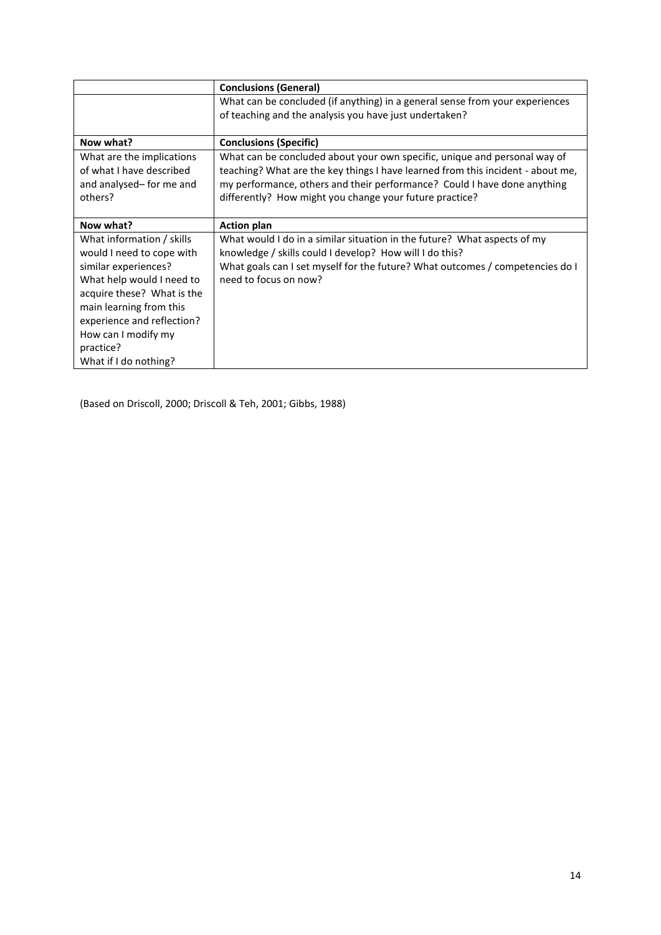|                            | <b>Conclusions (General)</b>                                                    |
|----------------------------|---------------------------------------------------------------------------------|
|                            | What can be concluded (if anything) in a general sense from your experiences    |
|                            | of teaching and the analysis you have just undertaken?                          |
|                            |                                                                                 |
| Now what?                  | <b>Conclusions (Specific)</b>                                                   |
| What are the implications  | What can be concluded about your own specific, unique and personal way of       |
| of what I have described   | teaching? What are the key things I have learned from this incident - about me, |
| and analysed-for me and    | my performance, others and their performance? Could I have done anything        |
| others?                    | differently? How might you change your future practice?                         |
|                            |                                                                                 |
| Now what?                  | <b>Action plan</b>                                                              |
| What information / skills  | What would I do in a similar situation in the future? What aspects of my        |
| would I need to cope with  | knowledge / skills could I develop? How will I do this?                         |
| similar experiences?       | What goals can I set myself for the future? What outcomes / competencies do I   |
| What help would I need to  | need to focus on now?                                                           |
| acquire these? What is the |                                                                                 |
| main learning from this    |                                                                                 |
| experience and reflection? |                                                                                 |
| How can I modify my        |                                                                                 |
| practice?                  |                                                                                 |
| What if I do nothing?      |                                                                                 |

(Based on Driscoll, 2000; Driscoll & Teh, 2001; Gibbs, 1988)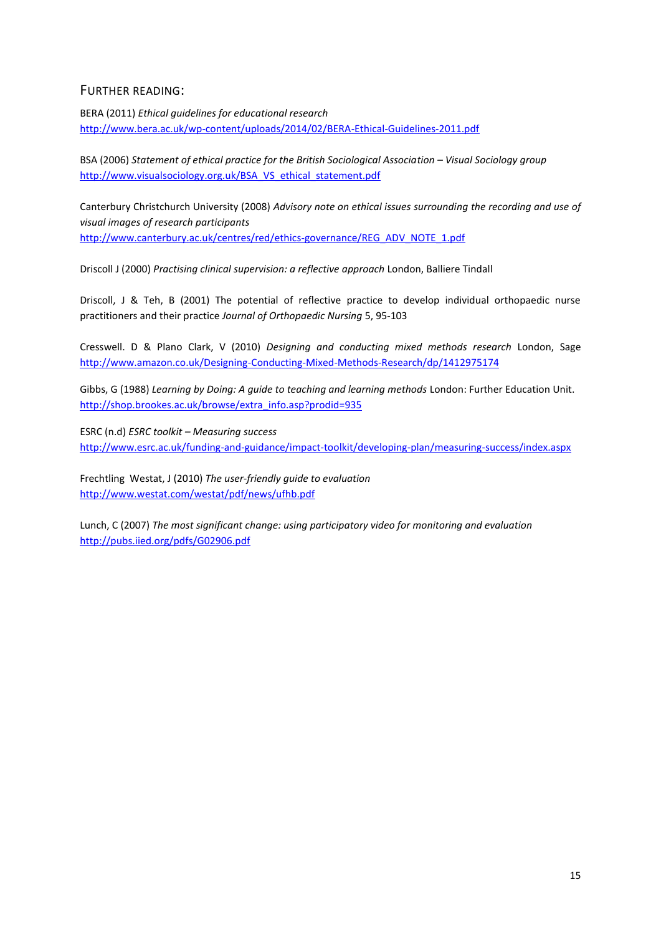### <span id="page-14-0"></span>FURTHER READING:

BERA (2011) *Ethical guidelines for educational research* <http://www.bera.ac.uk/wp-content/uploads/2014/02/BERA-Ethical-Guidelines-2011.pdf>

BSA (2006) *Statement of ethical practice for the British Sociological Association – Visual Sociology group* [http://www.visualsociology.org.uk/BSA\\_VS\\_ethical\\_statement.pdf](http://www.visualsociology.org.uk/BSA_VS_ethical_statement.pdf)

Canterbury Christchurch University (2008) *Advisory note on ethical issues surrounding the recording and use of visual images of research participants* [http://www.canterbury.ac.uk/centres/red/ethics-governance/REG\\_ADV\\_NOTE\\_1.pdf](http://www.canterbury.ac.uk/centres/red/ethics-governance/REG_ADV_NOTE_1.pdf)

Driscoll J (2000) *Practising clinical supervision: a reflective approach* London, Balliere Tindall

Driscoll, J & Teh, B (2001) The potential of reflective practice to develop individual orthopaedic nurse practitioners and their practice *Journal of Orthopaedic Nursing* 5, 95-103

Cresswell. D & Plano Clark, V (2010) *Designing and conducting mixed methods research* London, Sage <http://www.amazon.co.uk/Designing-Conducting-Mixed-Methods-Research/dp/1412975174>

Gibbs, G (1988) *Learning by Doing: A guide to teaching and learning methods* London: Further Education Unit. [http://shop.brookes.ac.uk/browse/extra\\_info.asp?prodid=935](http://shop.brookes.ac.uk/browse/extra_info.asp?prodid=935)

ESRC (n.d) *ESRC toolkit – Measuring success* <http://www.esrc.ac.uk/funding-and-guidance/impact-toolkit/developing-plan/measuring-success/index.aspx>

Frechtling Westat, J (2010) *The user-friendly guide to evaluation* <http://www.westat.com/westat/pdf/news/ufhb.pdf>

Lunch, C (2007) *The most significant change: using participatory video for monitoring and evaluation* <http://pubs.iied.org/pdfs/G02906.pdf>